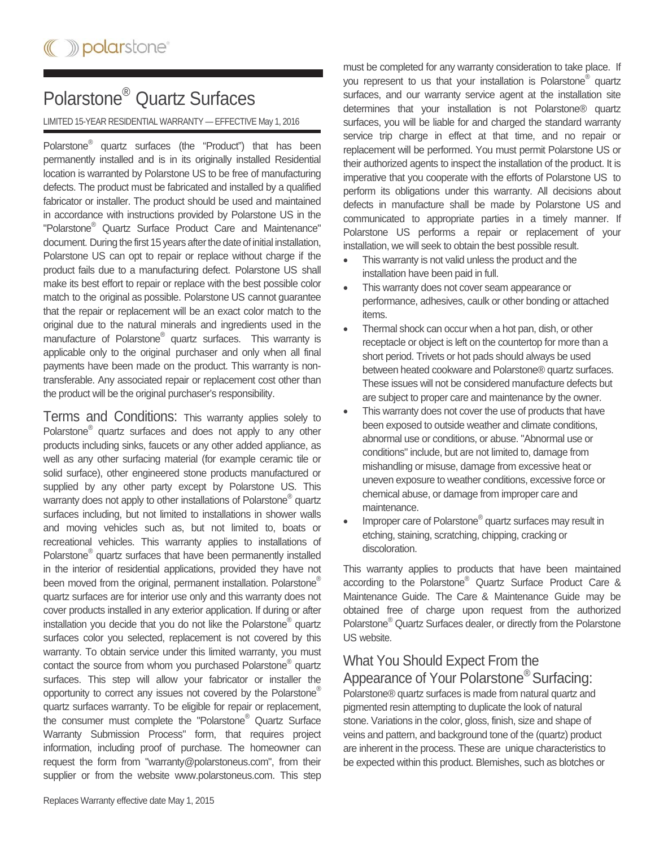## Polarstone® Quartz Surfaces

LIMITED 15-YEAR RESIDENTIAL WARRANTY — EFFECTIVE May 1, 2016

Polarstone® quartz surfaces (the "Product") that has been permanently installed and is in its originally installed Residential location is warranted by Polarstone US to be free of manufacturing defects. The product must be fabricated and installed by a qualified fabricator or installer. The product should be used and maintained in accordance with instructions provided by Polarstone US in the "Polarstone® Quartz Surface Product Care and Maintenance" document. During the first 15 years after the date of initial installation, Polarstone US can opt to repair or replace without charge if the product fails due to a manufacturing defect. Polarstone US shall make its best effort to repair or replace with the best possible color match to the original as possible. Polarstone US cannot guarantee that the repair or replacement will be an exact color match to the original due to the natural minerals and ingredients used in the manufacture of Polarstone<sup>®</sup> quartz surfaces. This warranty is applicable only to the original purchaser and only when all final payments have been made on the product. This warranty is nontransferable. Any associated repair or replacement cost other than the product will be the original purchaser's responsibility.

Terms and Conditions: This warranty applies solely to Polarstone<sup>®</sup> quartz surfaces and does not apply to any other products including sinks, faucets or any other added appliance, as well as any other surfacing material (for example ceramic tile or solid surface), other engineered stone products manufactured or supplied by any other party except by Polarstone US. This warranty does not apply to other installations of Polarstone<sup>®</sup> quartz surfaces including, but not limited to installations in shower walls and moving vehicles such as, but not limited to, boats or recreational vehicles. This warranty applies to installations of Polarstone<sup>®</sup> quartz surfaces that have been permanently installed in the interior of residential applications, provided they have not been moved from the original, permanent installation. Polarstone<sup>®</sup> quartz surfaces are for interior use only and this warranty does not cover products installed in any exterior application. If during or after installation you decide that you do not like the Polarstone<sup>®</sup> quartz surfaces color you selected, replacement is not covered by this warranty. To obtain service under this limited warranty, you must contact the source from whom you purchased Polarstone<sup>®</sup> quartz surfaces. This step will allow your fabricator or installer the opportunity to correct any issues not covered by the Polarstone® quartz surfaces warranty. To be eligible for repair or replacement, the consumer must complete the "Polarstone<sup>®</sup> Quartz Surface Warranty Submission Process" form, that requires project information, including proof of purchase. The homeowner can request the form from "warranty@polarstoneus.com", from their supplier or from the website www.polarstoneus.com. This step

must be completed for any warranty consideration to take place. If you represent to us that your installation is Polarstone<sup>®</sup> quartz surfaces, and our warranty service agent at the installation site determines that your installation is not Polarstone® quartz surfaces, you will be liable for and charged the standard warranty service trip charge in effect at that time, and no repair or replacement will be performed. You must permit Polarstone US or their authorized agents to inspect the installation of the product. It is imperative that you cooperate with the efforts of Polarstone US to perform its obligations under this warranty. All decisions about defects in manufacture shall be made by Polarstone US and communicated to appropriate parties in a timely manner. If Polarstone US performs a repair or replacement of your installation, we will seek to obtain the best possible result.

- This warranty is not valid unless the product and the installation have been paid in full.
- This warranty does not cover seam appearance or performance, adhesives, caulk or other bonding or attached items.
- Thermal shock can occur when a hot pan, dish, or other receptacle or object is left on the countertop for more than a short period. Trivets or hot pads should always be used between heated cookware and Polarstone® quartz surfaces. These issues will not be considered manufacture defects but are subject to proper care and maintenance by the owner.
- This warranty does not cover the use of products that have been exposed to outside weather and climate conditions, abnormal use or conditions, or abuse. "Abnormal use or conditions" include, but are not limited to, damage from mishandling or misuse, damage from excessive heat or uneven exposure to weather conditions, excessive force or chemical abuse, or damage from improper care and maintenance.
- Improper care of Polarstone<sup>®</sup> quartz surfaces may result in etching, staining, scratching, chipping, cracking or discoloration.

This warranty applies to products that have been maintained according to the Polarstone® Quartz Surface Product Care & Maintenance Guide. The Care & Maintenance Guide may be obtained free of charge upon request from the authorized Polarstone<sup>®</sup> Quartz Surfaces dealer, or directly from the Polarstone US website.

## What You Should Expect From the Appearance of Your Polarstone® Surfacing:

Polarstone® quartz surfaces is made from natural quartz and pigmented resin attempting to duplicate the look of natural stone. Variations in the color, gloss, finish, size and shape of veins and pattern, and background tone of the (quartz) product are inherent in the process. These are unique characteristics to be expected within this product. Blemishes, such as blotches or